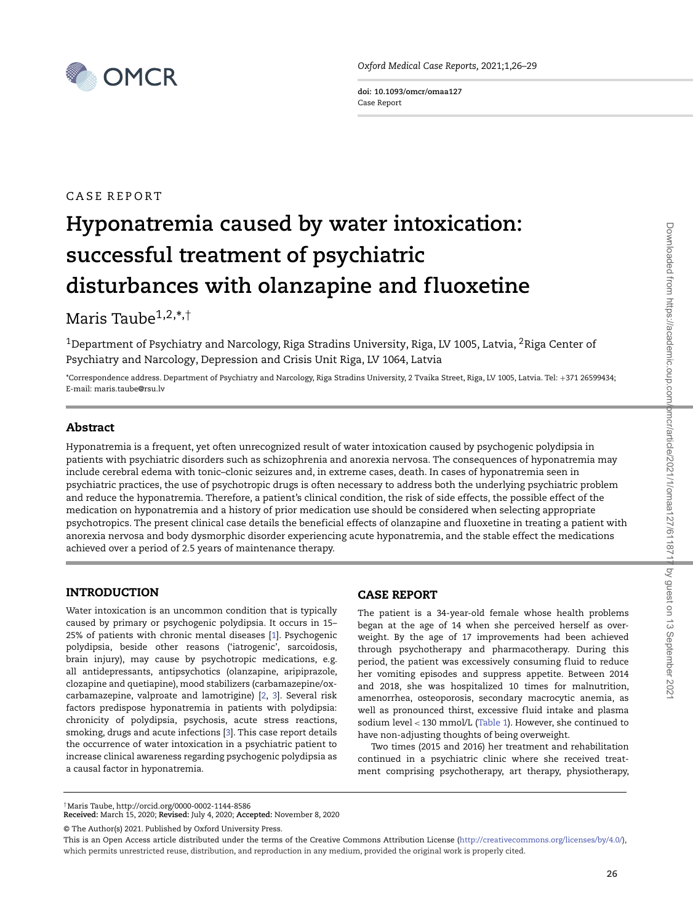

*Oxford Medical Case Reports,* 2021;1,26–29

**doi: 10.1093/omcr/omaa127** Case Report

# CASE REPORT

# **Hyponatremia caused by water intoxication: successful treatment of psychiatric** disturbances with olanzapine and fluoxetine

Maris Taub $e^{1,2,*}$ ,<sup>†</sup>

<sup>1</sup>Department of Psychiatry and Narcology, Riga Stradins University, Riga, LV 1005, Latvia, <sup>2</sup>Riga Center of Psychiatry and Narcology, Depression and Crisis Unit Riga, LV 1064, Latvia

\*Correspondence address. Department of Psychiatry and Narcology, Riga Stradins University, 2 Tvaika Street, Riga, LV 1005, Latvia. Tel: +371 26599434; E-mail: maris.taube@rsu.lv

# **Abstract**

Hyponatremia is a frequent, yet often unrecognized result of water intoxication caused by psychogenic polydipsia in patients with psychiatric disorders such as schizophrenia and anorexia nervosa. The consequences of hyponatremia may include cerebral edema with tonic–clonic seizures and, in extreme cases, death. In cases of hyponatremia seen in psychiatric practices, the use of psychotropic drugs is often necessary to address both the underlying psychiatric problem and reduce the hyponatremia. Therefore, a patient's clinical condition, the risk of side effects, the possible effect of the medication on hyponatremia and a history of prior medication use should be considered when selecting appropriate psychotropics. The present clinical case details the beneficial effects of olanzapine and f luoxetine in treating a patient with anorexia nervosa and body dysmorphic disorder experiencing acute hyponatremia, and the stable effect the medications achieved over a period of 2.5 years of maintenance therapy.

# **INTRODUCTION**

Water intoxication is an uncommon condition that is typically caused by primary or psychogenic polydipsia. It occurs in 15– 25% of patients with chronic mental diseases [\[1\]](#page-3-0). Psychogenic polydipsia, beside other reasons ('iatrogenic', sarcoidosis, brain injury), may cause by psychotropic medications, e.g. all antidepressants, antipsychotics (olanzapine, aripiprazole, clozapine and quetiapine), mood stabilizers (carbamazepine/oxcarbamazepine, valproate and lamotrigine) [\[2,](#page-3-1) [3\]](#page-3-2). Several risk factors predispose hyponatremia in patients with polydipsia: chronicity of polydipsia, psychosis, acute stress reactions, smoking, drugs and acute infections [\[3\]](#page-3-2). This case report details the occurrence of water intoxication in a psychiatric patient to increase clinical awareness regarding psychogenic polydipsia as a causal factor in hyponatremia.

# **CASE REPORT**

The patient is a 34-year-old female whose health problems began at the age of 14 when she perceived herself as overweight. By the age of 17 improvements had been achieved through psychotherapy and pharmacotherapy. During this period, the patient was excessively consuming fluid to reduce her vomiting episodes and suppress appetite. Between 2014 and 2018, she was hospitalized 10 times for malnutrition, amenorrhea, osteoporosis, secondary macrocytic anemia, as well as pronounced thirst, excessive fluid intake and plasma sodium level *<* 130 mmol/L [\(Table 1\)](#page-1-0). However, she continued to have non-adjusting thoughts of being overweight.

Two times (2015 and 2016) her treatment and rehabilitation continued in a psychiatric clinic where she received treatment comprising psychotherapy, art therapy, physiotherapy,

<sup>†</sup>Maris Taube, http://orcid.org/0000-0002-1144-8586

**Received:** March 15, 2020; **Revised:** July 4, 2020; **Accepted:** November 8, 2020

<sup>©</sup> The Author(s) 2021. Published by Oxford University Press.

This is an Open Access article distributed under the terms of the Creative Commons Attribution License [\(http://creativecommons.org/licenses/by/4.0/\)](http://creativecommons.org/licenses/by/4.0/), which permits unrestricted reuse, distribution, and reproduction in any medium, provided the original work is properly cited.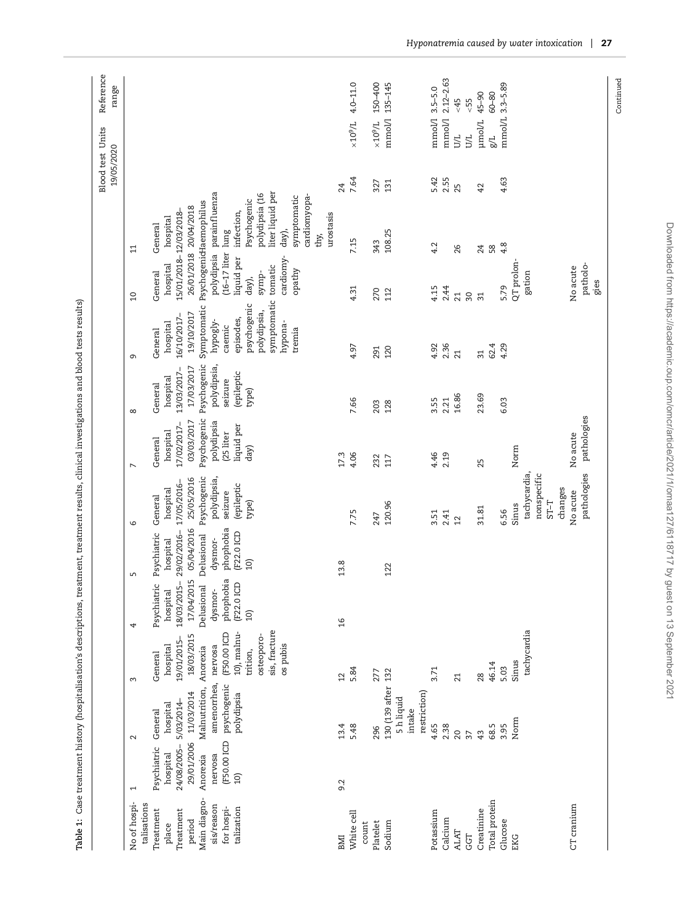| $2.12 - 2.63$<br>$4.0 - 11.0$<br>150-400<br>135-145<br>mmol/L 3.3-5.89<br>$3.5 - 5.0$<br>$60 - 80$<br>$45 - 90$<br>$55-$<br>$55-$<br>mmol/l<br>mmol/l<br>mmol/<br>µmol/L<br>$10^9/L$<br>$10^{6}$ Or $\times$<br><b>UZ</b><br><b>UZ</b><br><b>T/B</b><br>2.55<br>7.64<br>5.42<br>4.63<br>131<br>327<br>24<br>25<br>42<br>liter liquid per<br>parainfluenza<br>polydipsia (16<br>cardiomyopa-<br>symptomatic<br>Psychogenic<br>Symptomatic Psychogenid-laemophilus<br>26/01/2018 20/04/2018<br>15/01/2018-12/03/2018-<br>infection,<br>urostasis<br>hospital<br>General<br>day),<br>108.25<br>lung<br>thy,<br>7.15<br>343<br>4.2<br>4.8<br>26<br>$58$<br>24<br>$\Xi$<br>$(16-17$ liter<br>polydipsia<br>cardiomy-<br>liquid per<br>QT prolon-<br>hospital<br>patholo-<br>tomatic<br>No acute<br>opathy<br>symp-<br>General<br>gation<br>day),<br>gies<br>5.79<br>4.15<br>2.44<br>4.31<br>270<br>112<br>21<br>$\sqrt{30}$<br>$\Omega$<br>$\overline{31}$<br>symptomatic<br>psychogenic<br>polydipsia,<br>19/10/2017<br>16/10/2017-<br>episodes,<br>hypogly-<br>hypona-<br>hospital<br>caemic<br>tremia<br>General<br>2.36<br>62.4<br>4.92<br>4.29<br>4.97<br>120<br>291<br>21<br>$\overline{31}$<br>$\sigma$<br>Psychogenic<br>polydipsia,<br>17/03/2017<br>13/03/2017-<br>(epileptic<br>hospital<br>seizure<br>General<br>type)<br>16.86<br>23.69<br>3.55<br>7.66<br>2.21<br>6.03<br>203<br>128<br>${}^{\circ}$<br>pathologies<br>Psychogenic<br>03/03/2017<br>polydipsia<br>17/02/2017-<br>liquid per<br>(25 liter<br>hospital<br>No acute<br>General<br>day)<br>Norm<br>17.3<br>4.06<br>4.46<br>2.19<br>232<br>117<br>25<br>$\overline{ }$<br>pathologies<br>tachycardia<br>nonspecific<br>Psychogenic<br>25/05/2016<br>polydipsia,<br>17/05/2016-<br>(epileptic<br>changes<br>hospital<br>No acute<br>seizure<br>General<br>$T-TS$<br>type)<br>120.96<br>Sinus<br>31.81<br>6.56<br>7.75<br>3.51<br>2.41<br>247<br>$\overline{2}$<br>$\circ$<br>05/04/2016<br>phophobia<br>29/02/2016-<br>(F22.0 ICD<br>Psychiatric<br>Delusional<br>dysmor-<br>hospital<br>10<br>13.8<br>122<br>S<br>17/04/2015<br>phophobia<br>18/03/2015-<br>(F22.0 ICD<br>Psychiatric<br>Delusional<br>hospital<br>dysmor-<br>$\boxed{0}$<br>$\frac{6}{2}$<br>4<br>sis, fracture<br>tachycardia<br>10), malnu-<br>(F50.00 ICD<br>18/03/2015<br>osteoporo-<br>19/01/2015-<br>os pubis<br>nervosa<br>hospital<br>Anorexia<br>trition,<br>General<br>Sinus<br>46.14<br>5.03<br>5.84<br>3.71<br>132<br>277<br>28<br>$\overline{2}$<br>21<br>3<br>amenorrhea,<br>psychogenic<br>130 (139 after<br>Malnutrition,<br>restriction)<br>11/03/2014<br>polydipsia<br>5 h liquid<br>5/03/2014-<br>hospital<br>intake<br>General<br>Norm<br>13.4<br>5.48<br>4.65<br>2.38<br>68.5<br>3.95<br>296<br>$\overline{20}$<br>43<br>$\overline{37}$<br>$\sim$<br>(F50.00 ICD<br>29/01/2006<br>24/08/2005-<br>Psychiatric<br>hospital<br>nervosa<br>Anorexia<br>$\overline{10}$<br>9.2<br>$\overline{ }$<br>talisations<br>sis/reason<br>for hospi-<br>talization<br>period<br>place<br>count | Continued |              |  |  |  |  |  | Blood test Units<br>19/05/2020 | Reference<br>range |
|---------------------------------------------------------------------------------------------------------------------------------------------------------------------------------------------------------------------------------------------------------------------------------------------------------------------------------------------------------------------------------------------------------------------------------------------------------------------------------------------------------------------------------------------------------------------------------------------------------------------------------------------------------------------------------------------------------------------------------------------------------------------------------------------------------------------------------------------------------------------------------------------------------------------------------------------------------------------------------------------------------------------------------------------------------------------------------------------------------------------------------------------------------------------------------------------------------------------------------------------------------------------------------------------------------------------------------------------------------------------------------------------------------------------------------------------------------------------------------------------------------------------------------------------------------------------------------------------------------------------------------------------------------------------------------------------------------------------------------------------------------------------------------------------------------------------------------------------------------------------------------------------------------------------------------------------------------------------------------------------------------------------------------------------------------------------------------------------------------------------------------------------------------------------------------------------------------------------------------------------------------------------------------------------------------------------------------------------------------------------------------------------------------------------------------------------------------------------------------------------------------------------------------------------------------------------------------------------------------------------------------------------------------------------------------------------------------------------------------------------------------------------------------------------------------------------------------------------------------------------------------------------------------------------------------------------------------------------------------------------------------------------------------------------|-----------|--------------|--|--|--|--|--|--------------------------------|--------------------|
| Treatment<br>Treatment                                                                                                                                                                                                                                                                                                                                                                                                                                                                                                                                                                                                                                                                                                                                                                                                                                                                                                                                                                                                                                                                                                                                                                                                                                                                                                                                                                                                                                                                                                                                                                                                                                                                                                                                                                                                                                                                                                                                                                                                                                                                                                                                                                                                                                                                                                                                                                                                                                                                                                                                                                                                                                                                                                                                                                                                                                                                                                                                                                                                                      |           | No of hospi- |  |  |  |  |  |                                |                    |
| Main diagno-<br>Potassium<br>Sodium<br>Platelet                                                                                                                                                                                                                                                                                                                                                                                                                                                                                                                                                                                                                                                                                                                                                                                                                                                                                                                                                                                                                                                                                                                                                                                                                                                                                                                                                                                                                                                                                                                                                                                                                                                                                                                                                                                                                                                                                                                                                                                                                                                                                                                                                                                                                                                                                                                                                                                                                                                                                                                                                                                                                                                                                                                                                                                                                                                                                                                                                                                             |           |              |  |  |  |  |  |                                |                    |
| Creatinine<br>White cell<br>Calcium<br>Glucose<br><b>ALAT</b><br>EKG<br><b>IMI</b>                                                                                                                                                                                                                                                                                                                                                                                                                                                                                                                                                                                                                                                                                                                                                                                                                                                                                                                                                                                                                                                                                                                                                                                                                                                                                                                                                                                                                                                                                                                                                                                                                                                                                                                                                                                                                                                                                                                                                                                                                                                                                                                                                                                                                                                                                                                                                                                                                                                                                                                                                                                                                                                                                                                                                                                                                                                                                                                                                          |           |              |  |  |  |  |  |                                |                    |
| Total protein<br>CT cranium                                                                                                                                                                                                                                                                                                                                                                                                                                                                                                                                                                                                                                                                                                                                                                                                                                                                                                                                                                                                                                                                                                                                                                                                                                                                                                                                                                                                                                                                                                                                                                                                                                                                                                                                                                                                                                                                                                                                                                                                                                                                                                                                                                                                                                                                                                                                                                                                                                                                                                                                                                                                                                                                                                                                                                                                                                                                                                                                                                                                                 |           |              |  |  |  |  |  |                                |                    |
|                                                                                                                                                                                                                                                                                                                                                                                                                                                                                                                                                                                                                                                                                                                                                                                                                                                                                                                                                                                                                                                                                                                                                                                                                                                                                                                                                                                                                                                                                                                                                                                                                                                                                                                                                                                                                                                                                                                                                                                                                                                                                                                                                                                                                                                                                                                                                                                                                                                                                                                                                                                                                                                                                                                                                                                                                                                                                                                                                                                                                                             |           |              |  |  |  |  |  |                                |                    |
|                                                                                                                                                                                                                                                                                                                                                                                                                                                                                                                                                                                                                                                                                                                                                                                                                                                                                                                                                                                                                                                                                                                                                                                                                                                                                                                                                                                                                                                                                                                                                                                                                                                                                                                                                                                                                                                                                                                                                                                                                                                                                                                                                                                                                                                                                                                                                                                                                                                                                                                                                                                                                                                                                                                                                                                                                                                                                                                                                                                                                                             |           |              |  |  |  |  |  |                                |                    |
|                                                                                                                                                                                                                                                                                                                                                                                                                                                                                                                                                                                                                                                                                                                                                                                                                                                                                                                                                                                                                                                                                                                                                                                                                                                                                                                                                                                                                                                                                                                                                                                                                                                                                                                                                                                                                                                                                                                                                                                                                                                                                                                                                                                                                                                                                                                                                                                                                                                                                                                                                                                                                                                                                                                                                                                                                                                                                                                                                                                                                                             |           |              |  |  |  |  |  |                                |                    |
|                                                                                                                                                                                                                                                                                                                                                                                                                                                                                                                                                                                                                                                                                                                                                                                                                                                                                                                                                                                                                                                                                                                                                                                                                                                                                                                                                                                                                                                                                                                                                                                                                                                                                                                                                                                                                                                                                                                                                                                                                                                                                                                                                                                                                                                                                                                                                                                                                                                                                                                                                                                                                                                                                                                                                                                                                                                                                                                                                                                                                                             |           |              |  |  |  |  |  |                                |                    |
|                                                                                                                                                                                                                                                                                                                                                                                                                                                                                                                                                                                                                                                                                                                                                                                                                                                                                                                                                                                                                                                                                                                                                                                                                                                                                                                                                                                                                                                                                                                                                                                                                                                                                                                                                                                                                                                                                                                                                                                                                                                                                                                                                                                                                                                                                                                                                                                                                                                                                                                                                                                                                                                                                                                                                                                                                                                                                                                                                                                                                                             |           |              |  |  |  |  |  |                                |                    |
|                                                                                                                                                                                                                                                                                                                                                                                                                                                                                                                                                                                                                                                                                                                                                                                                                                                                                                                                                                                                                                                                                                                                                                                                                                                                                                                                                                                                                                                                                                                                                                                                                                                                                                                                                                                                                                                                                                                                                                                                                                                                                                                                                                                                                                                                                                                                                                                                                                                                                                                                                                                                                                                                                                                                                                                                                                                                                                                                                                                                                                             |           |              |  |  |  |  |  |                                |                    |
| <b>GGT</b>                                                                                                                                                                                                                                                                                                                                                                                                                                                                                                                                                                                                                                                                                                                                                                                                                                                                                                                                                                                                                                                                                                                                                                                                                                                                                                                                                                                                                                                                                                                                                                                                                                                                                                                                                                                                                                                                                                                                                                                                                                                                                                                                                                                                                                                                                                                                                                                                                                                                                                                                                                                                                                                                                                                                                                                                                                                                                                                                                                                                                                  |           |              |  |  |  |  |  |                                |                    |
|                                                                                                                                                                                                                                                                                                                                                                                                                                                                                                                                                                                                                                                                                                                                                                                                                                                                                                                                                                                                                                                                                                                                                                                                                                                                                                                                                                                                                                                                                                                                                                                                                                                                                                                                                                                                                                                                                                                                                                                                                                                                                                                                                                                                                                                                                                                                                                                                                                                                                                                                                                                                                                                                                                                                                                                                                                                                                                                                                                                                                                             |           |              |  |  |  |  |  |                                |                    |
|                                                                                                                                                                                                                                                                                                                                                                                                                                                                                                                                                                                                                                                                                                                                                                                                                                                                                                                                                                                                                                                                                                                                                                                                                                                                                                                                                                                                                                                                                                                                                                                                                                                                                                                                                                                                                                                                                                                                                                                                                                                                                                                                                                                                                                                                                                                                                                                                                                                                                                                                                                                                                                                                                                                                                                                                                                                                                                                                                                                                                                             |           |              |  |  |  |  |  |                                |                    |
|                                                                                                                                                                                                                                                                                                                                                                                                                                                                                                                                                                                                                                                                                                                                                                                                                                                                                                                                                                                                                                                                                                                                                                                                                                                                                                                                                                                                                                                                                                                                                                                                                                                                                                                                                                                                                                                                                                                                                                                                                                                                                                                                                                                                                                                                                                                                                                                                                                                                                                                                                                                                                                                                                                                                                                                                                                                                                                                                                                                                                                             |           |              |  |  |  |  |  |                                |                    |
|                                                                                                                                                                                                                                                                                                                                                                                                                                                                                                                                                                                                                                                                                                                                                                                                                                                                                                                                                                                                                                                                                                                                                                                                                                                                                                                                                                                                                                                                                                                                                                                                                                                                                                                                                                                                                                                                                                                                                                                                                                                                                                                                                                                                                                                                                                                                                                                                                                                                                                                                                                                                                                                                                                                                                                                                                                                                                                                                                                                                                                             |           |              |  |  |  |  |  |                                |                    |
|                                                                                                                                                                                                                                                                                                                                                                                                                                                                                                                                                                                                                                                                                                                                                                                                                                                                                                                                                                                                                                                                                                                                                                                                                                                                                                                                                                                                                                                                                                                                                                                                                                                                                                                                                                                                                                                                                                                                                                                                                                                                                                                                                                                                                                                                                                                                                                                                                                                                                                                                                                                                                                                                                                                                                                                                                                                                                                                                                                                                                                             |           |              |  |  |  |  |  |                                |                    |
|                                                                                                                                                                                                                                                                                                                                                                                                                                                                                                                                                                                                                                                                                                                                                                                                                                                                                                                                                                                                                                                                                                                                                                                                                                                                                                                                                                                                                                                                                                                                                                                                                                                                                                                                                                                                                                                                                                                                                                                                                                                                                                                                                                                                                                                                                                                                                                                                                                                                                                                                                                                                                                                                                                                                                                                                                                                                                                                                                                                                                                             |           |              |  |  |  |  |  |                                |                    |
|                                                                                                                                                                                                                                                                                                                                                                                                                                                                                                                                                                                                                                                                                                                                                                                                                                                                                                                                                                                                                                                                                                                                                                                                                                                                                                                                                                                                                                                                                                                                                                                                                                                                                                                                                                                                                                                                                                                                                                                                                                                                                                                                                                                                                                                                                                                                                                                                                                                                                                                                                                                                                                                                                                                                                                                                                                                                                                                                                                                                                                             |           |              |  |  |  |  |  |                                |                    |
|                                                                                                                                                                                                                                                                                                                                                                                                                                                                                                                                                                                                                                                                                                                                                                                                                                                                                                                                                                                                                                                                                                                                                                                                                                                                                                                                                                                                                                                                                                                                                                                                                                                                                                                                                                                                                                                                                                                                                                                                                                                                                                                                                                                                                                                                                                                                                                                                                                                                                                                                                                                                                                                                                                                                                                                                                                                                                                                                                                                                                                             |           |              |  |  |  |  |  |                                |                    |
|                                                                                                                                                                                                                                                                                                                                                                                                                                                                                                                                                                                                                                                                                                                                                                                                                                                                                                                                                                                                                                                                                                                                                                                                                                                                                                                                                                                                                                                                                                                                                                                                                                                                                                                                                                                                                                                                                                                                                                                                                                                                                                                                                                                                                                                                                                                                                                                                                                                                                                                                                                                                                                                                                                                                                                                                                                                                                                                                                                                                                                             |           |              |  |  |  |  |  |                                |                    |

<span id="page-1-0"></span>Downloaded from https://academic.oup.com/omcr/article/2021/1/omaa127/6118717 by guest on 13 September 2021

Downloaded from https://academic.oup.com/omcr/article/2021/1/omaa127/6118717 by guest on 13 September 2021

*Hyponatremia caused by water intoxication* **27**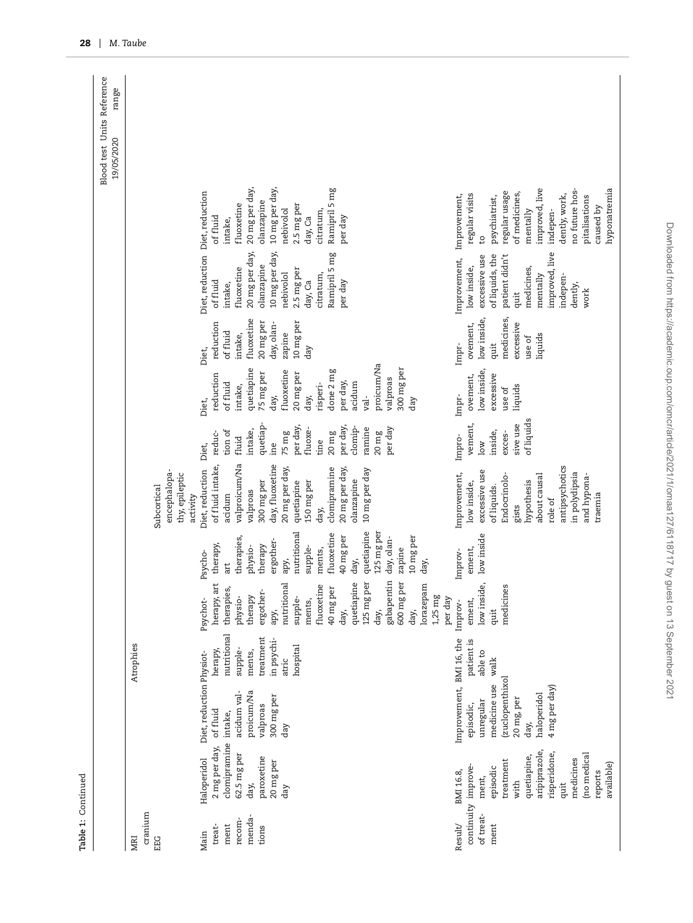|                                                     |                                                                                                                                                                  |                                                                                                                                             |                                                                                             |                                                                                                                                                                                                                                                                       |                                                                                                                                                                                                                                     |                                                                                                                                                                                                                                    |                                                                                                                                                                                             |                                                                                                                                                                                                                       |                                                                                                                  |                                                                                                                                                                                                       |                                                                                                                                                                                                                                | Blood test Units Reference<br>range<br>19/05/2020 |
|-----------------------------------------------------|------------------------------------------------------------------------------------------------------------------------------------------------------------------|---------------------------------------------------------------------------------------------------------------------------------------------|---------------------------------------------------------------------------------------------|-----------------------------------------------------------------------------------------------------------------------------------------------------------------------------------------------------------------------------------------------------------------------|-------------------------------------------------------------------------------------------------------------------------------------------------------------------------------------------------------------------------------------|------------------------------------------------------------------------------------------------------------------------------------------------------------------------------------------------------------------------------------|---------------------------------------------------------------------------------------------------------------------------------------------------------------------------------------------|-----------------------------------------------------------------------------------------------------------------------------------------------------------------------------------------------------------------------|------------------------------------------------------------------------------------------------------------------|-------------------------------------------------------------------------------------------------------------------------------------------------------------------------------------------------------|--------------------------------------------------------------------------------------------------------------------------------------------------------------------------------------------------------------------------------|---------------------------------------------------|
| cranium<br>EG<br>田<br>MRI                           |                                                                                                                                                                  |                                                                                                                                             | Atrophies                                                                                   |                                                                                                                                                                                                                                                                       |                                                                                                                                                                                                                                     | encephalopa-<br>thy, epileptic<br>Subcortical<br>activity                                                                                                                                                                          |                                                                                                                                                                                             |                                                                                                                                                                                                                       |                                                                                                                  |                                                                                                                                                                                                       |                                                                                                                                                                                                                                |                                                   |
| menda-<br>recom-<br>ment<br>treat-<br>tions<br>Main | clomipramine intake,<br>2 mg per day,<br>62.5 mg per<br>paroxetine<br>Haloperidol<br>20 mg per<br>day,<br>day                                                    | Diet, reduction Physiot-<br>proicum/Na<br>acidum val-<br>300 mg per<br>valproas<br>of fluid<br>day                                          | nutritional<br>treatment<br>in psychi-<br>hospital<br>herapy,<br>supple-<br>ments,<br>atric | gabapentin<br>600 mg per<br>125 mg per<br>herapy, art<br>$\overline{\mathbb{Q}}$<br>lorazepam<br>nutritional<br>fluoxetine<br>therapies<br>ergother-<br>40 mg per<br>quetiapin<br>therapy<br>physio-<br>supple-<br>Psychot-<br>ments,<br>day,<br>day,<br>day,<br>apy, | quetiapine<br>nutritional<br>125 mg per<br>fluoxetine<br>40 mg per<br>10 mg per<br>therapies,<br>day, olan-<br>ergother-<br>therapy,<br>therapy<br>physio-<br>supple-<br>ments,<br>zapine<br>Psycho-<br>apy,<br>day,<br>day,<br>art | valproicum/Na<br>day, fluoxetine<br>of fluid intake,<br>20 mg per day,<br>clomipramine<br>20 mg per day,<br>Diet, reduction<br>10 mg per day<br>olanzapine<br>300 mg per<br>150 mg per<br>quetiapine<br>valproas<br>acidum<br>day, | quetiap-<br>per day,<br>per day,<br>clomip-<br>per day<br>ramine<br>intake,<br>fluoxe-<br>tion of<br>$20 \text{ mg}$<br>reduc-<br>75 mg<br>$20 \text{ mg}$<br>fluid<br>tine<br>ine<br>Diet, | proicum/Na<br>300 mg per<br>quetiapine<br>done 2 mg<br>fluoxetine<br>75 mg per<br>20 mg per<br>reduction<br>valproas<br>per day,<br>acidum<br>risperi-<br>of fluid<br>intake,<br>day,<br>day,<br>yal-<br>day<br>Diet, | fluoxetine<br>20 mg per<br>10 mg per<br>reduction<br>day, olan-<br>of fluid<br>zapine<br>intake,<br>day<br>Diet, | Diet, reduction Diet, reduction<br>20 mg per day,<br>10 mg per day,<br>Ramipril 5 mg<br>olanzapine<br>2.5 mg per<br>fluoxetine<br>nebivolol<br>citratum,<br>of fluid<br>day, Ca<br>per day<br>intake, | 20 mg per day,<br>10 mg per day,<br>Ramipril 5 mg<br>olanzapine<br>fluoxetine<br>2.5 mg per<br>nebivolol<br>citratum,<br>of fluid<br>day, Ca<br>per day<br>intake,                                                             |                                                   |
| continuity improve-<br>of treat-<br>Result/<br>ment | aripiprazole,<br>risperidone,<br>(no medical<br>quetiapine,<br>medicines<br>treatment<br>available)<br>episodic<br>BMI 16.8,<br>reports<br>ment,<br>with<br>quit | Improvement, BMI 16, the<br>(zuclopenthixol<br>medicine use<br>4 mg per day)<br>haloperidol<br>20 mg, per<br>unregular<br>episodic,<br>day, | patient is<br>able to<br>walk                                                               | low inside,<br>medicines<br>$1,25$ mg<br>per day<br>ement,<br>Improv-<br>quit                                                                                                                                                                                         | low inside<br>ement,<br>Improv-                                                                                                                                                                                                     | antipsychotics<br>excessive use<br>in polydipsia<br>about causal<br>and hypona-<br>Improvement,<br>Endocrinolo-<br>hypothesis<br>low inside,<br>of liquids.<br>traemia<br>role of<br>gists                                         | of liquids<br>sive use<br>vement,<br>inside,<br>exces-<br>Impro-<br>$_{low}$                                                                                                                | low inside,<br>excessive<br>ovement,<br>liquids<br>use of<br>Impr-                                                                                                                                                    | medicines,<br>low inside,<br>excessive<br>ovement,<br>liquids<br>use of<br>Impr-<br>quit                         | improved, live<br>of liquids, the<br>patient didn't<br>Improvement,<br>excessive use<br>low inside,<br>medicines,<br>mentally<br>indepen-<br>dently,<br>work<br>quit                                  | improved, live<br>hyponatremia<br>no future hos-<br>regular usage<br>of medicines,<br>regular visits<br>dently, work,<br>Improvement,<br>pitalisations<br>psychiatrist,<br>caused by<br>mentally<br>indepen-<br>C <sub>1</sub> |                                                   |

Table 1: Continued